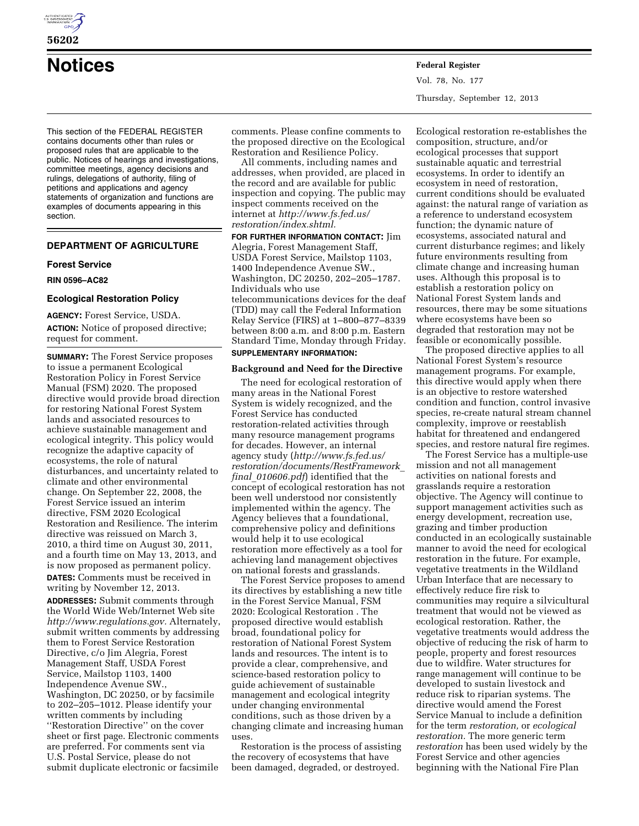

**56202** 

**Notices Federal Register**

This section of the FEDERAL REGISTER contains documents other than rules or proposed rules that are applicable to the public. Notices of hearings and investigations, committee meetings, agency decisions and rulings, delegations of authority, filing of petitions and applications and agency statements of organization and functions are examples of documents appearing in this section.

# **DEPARTMENT OF AGRICULTURE**

# **Forest Service**

## **RIN 0596–AC82**

## **Ecological Restoration Policy**

**AGENCY:** Forest Service, USDA. **ACTION:** Notice of proposed directive; request for comment.

**SUMMARY:** The Forest Service proposes to issue a permanent Ecological Restoration Policy in Forest Service Manual (FSM) 2020. The proposed directive would provide broad direction for restoring National Forest System lands and associated resources to achieve sustainable management and ecological integrity. This policy would recognize the adaptive capacity of ecosystems, the role of natural disturbances, and uncertainty related to climate and other environmental change. On September 22, 2008, the Forest Service issued an interim directive, FSM 2020 Ecological Restoration and Resilience. The interim directive was reissued on March 3, 2010, a third time on August 30, 2011, and a fourth time on May 13, 2013, and is now proposed as permanent policy. **DATES:** Comments must be received in writing by November 12, 2013.

**ADDRESSES:** Submit comments through the World Wide Web/Internet Web site *[http://www.regulations.gov.](http://www.regulations.gov)* Alternately, submit written comments by addressing them to Forest Service Restoration Directive, c/o Jim Alegria, Forest Management Staff, USDA Forest Service, Mailstop 1103, 1400 Independence Avenue SW., Washington, DC 20250, or by facsimile to 202–205–1012. Please identify your written comments by including ''Restoration Directive'' on the cover sheet or first page. Electronic comments are preferred. For comments sent via U.S. Postal Service, please do not submit duplicate electronic or facsimile

comments. Please confine comments to the proposed directive on the Ecological Restoration and Resilience Policy.

All comments, including names and addresses, when provided, are placed in the record and are available for public inspection and copying. The public may inspect comments received on the internet at *[http://www.fs.fed.us/](http://www.fs.fed.us/restoration/index.shtml) [restoration/index.shtml.](http://www.fs.fed.us/restoration/index.shtml)* 

**FOR FURTHER INFORMATION CONTACT:** Jim Alegria, Forest Management Staff, USDA Forest Service, Mailstop 1103, 1400 Independence Avenue SW., Washington, DC 20250, 202–205–1787. Individuals who use

telecommunications devices for the deaf (TDD) may call the Federal Information Relay Service (FIRS) at 1–800–877–8339 between 8:00 a.m. and 8:00 p.m. Eastern Standard Time, Monday through Friday. **SUPPLEMENTARY INFORMATION:** 

## **Background and Need for the Directive**

The need for ecological restoration of many areas in the National Forest System is widely recognized, and the Forest Service has conducted restoration-related activities through many resource management programs for decades. However, an internal agency study (*[http://www.fs.fed.us/](http://www.fs.fed.us/restoration/documents/RestFramework_final_010606.pdf) [restoration/documents/RestFramework](http://www.fs.fed.us/restoration/documents/RestFramework_final_010606.pdf)*\_ *final*\_*[010606.pdf](http://www.fs.fed.us/restoration/documents/RestFramework_final_010606.pdf)*) identified that the concept of ecological restoration has not been well understood nor consistently implemented within the agency. The Agency believes that a foundational, comprehensive policy and definitions would help it to use ecological restoration more effectively as a tool for achieving land management objectives on national forests and grasslands.

The Forest Service proposes to amend its directives by establishing a new title in the Forest Service Manual, FSM 2020: Ecological Restoration . The proposed directive would establish broad, foundational policy for restoration of National Forest System lands and resources. The intent is to provide a clear, comprehensive, and science-based restoration policy to guide achievement of sustainable management and ecological integrity under changing environmental conditions, such as those driven by a changing climate and increasing human uses.

Restoration is the process of assisting the recovery of ecosystems that have been damaged, degraded, or destroyed.

Ecological restoration re-establishes the composition, structure, and/or ecological processes that support sustainable aquatic and terrestrial ecosystems. In order to identify an ecosystem in need of restoration, current conditions should be evaluated against: the natural range of variation as a reference to understand ecosystem function; the dynamic nature of ecosystems, associated natural and current disturbance regimes; and likely future environments resulting from climate change and increasing human uses. Although this proposal is to establish a restoration policy on National Forest System lands and resources, there may be some situations where ecosystems have been so degraded that restoration may not be feasible or economically possible.

The proposed directive applies to all National Forest System's resource management programs. For example, this directive would apply when there is an objective to restore watershed condition and function, control invasive species, re-create natural stream channel complexity, improve or reestablish habitat for threatened and endangered species, and restore natural fire regimes.

The Forest Service has a multiple-use mission and not all management activities on national forests and grasslands require a restoration objective. The Agency will continue to support management activities such as energy development, recreation use, grazing and timber production conducted in an ecologically sustainable manner to avoid the need for ecological restoration in the future. For example, vegetative treatments in the Wildland Urban Interface that are necessary to effectively reduce fire risk to communities may require a silvicultural treatment that would not be viewed as ecological restoration. Rather, the vegetative treatments would address the objective of reducing the risk of harm to people, property and forest resources due to wildfire. Water structures for range management will continue to be developed to sustain livestock and reduce risk to riparian systems. The directive would amend the Forest Service Manual to include a definition for the term *restoration,* or *ecological restoration.* The more generic term *restoration* has been used widely by the Forest Service and other agencies beginning with the National Fire Plan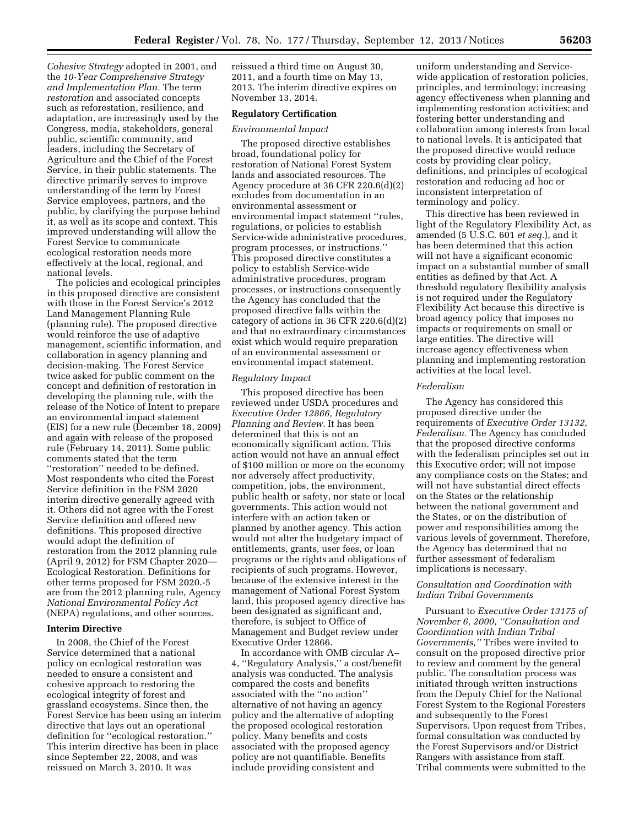*Cohesive Strategy* adopted in 2001, and the *10-Year Comprehensive Strategy and Implementation Plan.* The term *restoration* and associated concepts such as reforestation, resilience, and adaptation, are increasingly used by the Congress, media, stakeholders, general public, scientific community, and leaders, including the Secretary of Agriculture and the Chief of the Forest Service, in their public statements. The directive primarily serves to improve understanding of the term by Forest Service employees, partners, and the public, by clarifying the purpose behind it, as well as its scope and context. This improved understanding will allow the Forest Service to communicate ecological restoration needs more effectively at the local, regional, and national levels.

The policies and ecological principles in this proposed directive are consistent with those in the Forest Service's 2012 Land Management Planning Rule (planning rule). The proposed directive would reinforce the use of adaptive management, scientific information, and collaboration in agency planning and decision-making. The Forest Service twice asked for public comment on the concept and definition of restoration in developing the planning rule, with the release of the Notice of Intent to prepare an environmental impact statement (EIS) for a new rule (December 18, 2009) and again with release of the proposed rule (February 14, 2011). Some public comments stated that the term ''restoration'' needed to be defined. Most respondents who cited the Forest Service definition in the FSM 2020 interim directive generally agreed with it. Others did not agree with the Forest Service definition and offered new definitions. This proposed directive would adopt the definition of restoration from the 2012 planning rule (April 9, 2012) for FSM Chapter 2020— Ecological Restoration. Definitions for other terms proposed for FSM 2020.-5 are from the 2012 planning rule, Agency *National Environmental Policy Act*  (NEPA) regulations, and other sources.

## **Interim Directive**

In 2008, the Chief of the Forest Service determined that a national policy on ecological restoration was needed to ensure a consistent and cohesive approach to restoring the ecological integrity of forest and grassland ecosystems. Since then, the Forest Service has been using an interim directive that lays out an operational definition for ''ecological restoration.'' This interim directive has been in place since September 22, 2008, and was reissued on March 3, 2010. It was

reissued a third time on August 30, 2011, and a fourth time on May 13, 2013. The interim directive expires on November 13, 2014.

### **Regulatory Certification**

#### *Environmental Impact*

The proposed directive establishes broad, foundational policy for restoration of National Forest System lands and associated resources. The Agency procedure at 36 CFR 220.6(d)(2) excludes from documentation in an environmental assessment or environmental impact statement ''rules, regulations, or policies to establish Service-wide administrative procedures, program processes, or instructions.'' This proposed directive constitutes a policy to establish Service-wide administrative procedures, program processes, or instructions consequently the Agency has concluded that the proposed directive falls within the category of actions in 36 CFR 220.6(d)(2) and that no extraordinary circumstances exist which would require preparation of an environmental assessment or environmental impact statement.

#### *Regulatory Impact*

This proposed directive has been reviewed under USDA procedures and *Executive Order 12866, Regulatory Planning and Review.* It has been determined that this is not an economically significant action. This action would not have an annual effect of \$100 million or more on the economy nor adversely affect productivity, competition, jobs, the environment, public health or safety, nor state or local governments. This action would not interfere with an action taken or planned by another agency. This action would not alter the budgetary impact of entitlements, grants, user fees, or loan programs or the rights and obligations of recipients of such programs. However, because of the extensive interest in the management of National Forest System land, this proposed agency directive has been designated as significant and, therefore, is subject to Office of Management and Budget review under Executive Order 12866.

In accordance with OMB circular A– 4, ''Regulatory Analysis,'' a cost/benefit analysis was conducted. The analysis compared the costs and benefits associated with the ''no action'' alternative of not having an agency policy and the alternative of adopting the proposed ecological restoration policy. Many benefits and costs associated with the proposed agency policy are not quantifiable. Benefits include providing consistent and

uniform understanding and Servicewide application of restoration policies, principles, and terminology; increasing agency effectiveness when planning and implementing restoration activities; and fostering better understanding and collaboration among interests from local to national levels. It is anticipated that the proposed directive would reduce costs by providing clear policy, definitions, and principles of ecological restoration and reducing ad hoc or inconsistent interpretation of terminology and policy.

This directive has been reviewed in light of the Regulatory Flexibility Act, as amended (5 U.S.C. 601 *et seq.*), and it has been determined that this action will not have a significant economic impact on a substantial number of small entities as defined by that Act. A threshold regulatory flexibility analysis is not required under the Regulatory Flexibility Act because this directive is broad agency policy that imposes no impacts or requirements on small or large entities. The directive will increase agency effectiveness when planning and implementing restoration activities at the local level.

#### *Federalism*

The Agency has considered this proposed directive under the requirements of *Executive Order 13132, Federalism.* The Agency has concluded that the proposed directive conforms with the federalism principles set out in this Executive order; will not impose any compliance costs on the States; and will not have substantial direct effects on the States or the relationship between the national government and the States, or on the distribution of power and responsibilities among the various levels of government. Therefore, the Agency has determined that no further assessment of federalism implications is necessary.

## *Consultation and Coordination with Indian Tribal Governments*

Pursuant to *Executive Order 13175 of November 6, 2000, ''Consultation and Coordination with Indian Tribal Governments,''* Tribes were invited to consult on the proposed directive prior to review and comment by the general public. The consultation process was initiated through written instructions from the Deputy Chief for the National Forest System to the Regional Foresters and subsequently to the Forest Supervisors. Upon request from Tribes, formal consultation was conducted by the Forest Supervisors and/or District Rangers with assistance from staff. Tribal comments were submitted to the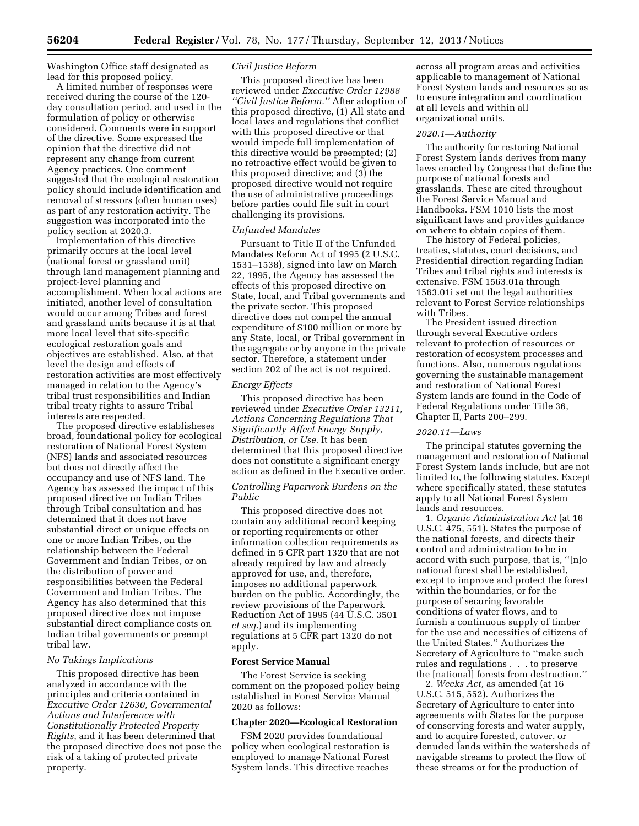Washington Office staff designated as lead for this proposed policy.

A limited number of responses were received during the course of the 120 day consultation period, and used in the formulation of policy or otherwise considered. Comments were in support of the directive. Some expressed the opinion that the directive did not represent any change from current Agency practices. One comment suggested that the ecological restoration policy should include identification and removal of stressors (often human uses) as part of any restoration activity. The suggestion was incorporated into the policy section at 2020.3.

Implementation of this directive primarily occurs at the local level (national forest or grassland unit) through land management planning and project-level planning and accomplishment. When local actions are initiated, another level of consultation would occur among Tribes and forest and grassland units because it is at that more local level that site-specific ecological restoration goals and objectives are established. Also, at that level the design and effects of restoration activities are most effectively managed in relation to the Agency's tribal trust responsibilities and Indian tribal treaty rights to assure Tribal interests are respected.

The proposed directive establisheses broad, foundational policy for ecological restoration of National Forest System (NFS) lands and associated resources but does not directly affect the occupancy and use of NFS land. The Agency has assessed the impact of this proposed directive on Indian Tribes through Tribal consultation and has determined that it does not have substantial direct or unique effects on one or more Indian Tribes, on the relationship between the Federal Government and Indian Tribes, or on the distribution of power and responsibilities between the Federal Government and Indian Tribes. The Agency has also determined that this proposed directive does not impose substantial direct compliance costs on Indian tribal governments or preempt tribal law.

#### *No Takings Implications*

This proposed directive has been analyzed in accordance with the principles and criteria contained in *Executive Order 12630, Governmental Actions and Interference with Constitutionally Protected Property Rights,* and it has been determined that the proposed directive does not pose the risk of a taking of protected private property.

## *Civil Justice Reform*

This proposed directive has been reviewed under *Executive Order 12988 ''Civil Justice Reform.''* After adoption of this proposed directive, (1) All state and local laws and regulations that conflict with this proposed directive or that would impede full implementation of this directive would be preempted; (2) no retroactive effect would be given to this proposed directive; and (3) the proposed directive would not require the use of administrative proceedings before parties could file suit in court challenging its provisions.

## *Unfunded Mandates*

Pursuant to Title II of the Unfunded Mandates Reform Act of 1995 (2 U.S.C. 1531–1538), signed into law on March 22, 1995, the Agency has assessed the effects of this proposed directive on State, local, and Tribal governments and the private sector. This proposed directive does not compel the annual expenditure of \$100 million or more by any State, local, or Tribal government in the aggregate or by anyone in the private sector. Therefore, a statement under section 202 of the act is not required.

#### *Energy Effects*

This proposed directive has been reviewed under *Executive Order 13211, Actions Concerning Regulations That Significantly Affect Energy Supply, Distribution, or Use.* It has been determined that this proposed directive does not constitute a significant energy action as defined in the Executive order.

## *Controlling Paperwork Burdens on the Public*

This proposed directive does not contain any additional record keeping or reporting requirements or other information collection requirements as defined in 5 CFR part 1320 that are not already required by law and already approved for use, and, therefore, imposes no additional paperwork burden on the public. Accordingly, the review provisions of the Paperwork Reduction Act of 1995 (44 U.S.C. 3501 *et seq.*) and its implementing regulations at 5 CFR part 1320 do not apply.

#### **Forest Service Manual**

The Forest Service is seeking comment on the proposed policy being established in Forest Service Manual 2020 as follows:

## **Chapter 2020—Ecological Restoration**

FSM 2020 provides foundational policy when ecological restoration is employed to manage National Forest System lands. This directive reaches

across all program areas and activities applicable to management of National Forest System lands and resources so as to ensure integration and coordination at all levels and within all organizational units.

#### *2020.1—Authority*

The authority for restoring National Forest System lands derives from many laws enacted by Congress that define the purpose of national forests and grasslands. These are cited throughout the Forest Service Manual and Handbooks. FSM 1010 lists the most significant laws and provides guidance on where to obtain copies of them.

The history of Federal policies, treaties, statutes, court decisions, and Presidential direction regarding Indian Tribes and tribal rights and interests is extensive. FSM 1563.01a through 1563.01i set out the legal authorities relevant to Forest Service relationships with Tribes.

The President issued direction through several Executive orders relevant to protection of resources or restoration of ecosystem processes and functions. Also, numerous regulations governing the sustainable management and restoration of National Forest System lands are found in the Code of Federal Regulations under Title 36, Chapter II, Parts 200–299.

#### *2020.11—Laws*

The principal statutes governing the management and restoration of National Forest System lands include, but are not limited to, the following statutes. Except where specifically stated, these statutes apply to all National Forest System lands and resources.

1. *Organic Administration Act* (at 16 U.S.C. 475, 551). States the purpose of the national forests, and directs their control and administration to be in accord with such purpose, that is, ''[n]o national forest shall be established, except to improve and protect the forest within the boundaries, or for the purpose of securing favorable conditions of water flows, and to furnish a continuous supply of timber for the use and necessities of citizens of the United States.'' Authorizes the Secretary of Agriculture to ''make such rules and regulations . . . to preserve the [national] forests from destruction.''

2. *Weeks Act,* as amended (at 16 U.S.C. 515, 552). Authorizes the Secretary of Agriculture to enter into agreements with States for the purpose of conserving forests and water supply, and to acquire forested, cutover, or denuded lands within the watersheds of navigable streams to protect the flow of these streams or for the production of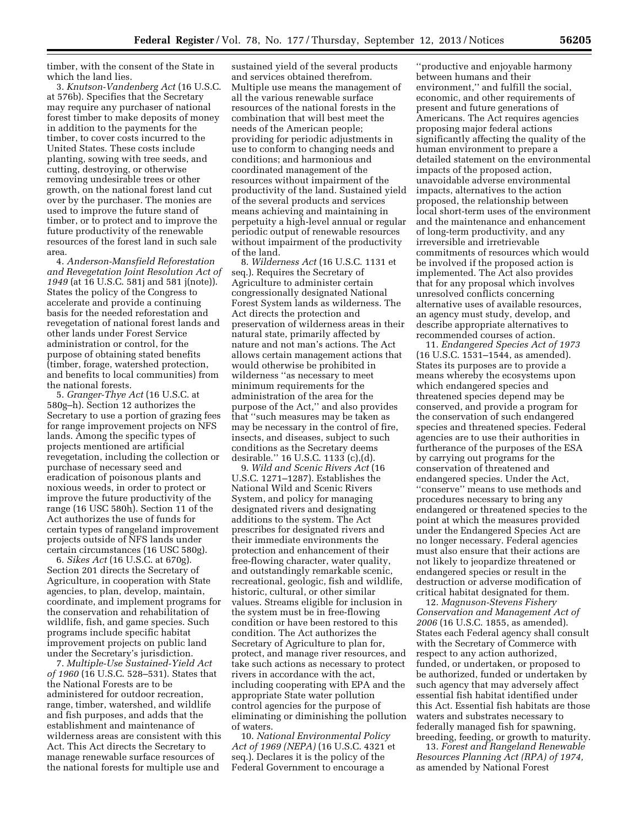timber, with the consent of the State in which the land lies.

3. *Knutson-Vandenberg Act* (16 U.S.C. at 576b). Specifies that the Secretary may require any purchaser of national forest timber to make deposits of money in addition to the payments for the timber, to cover costs incurred to the United States. These costs include planting, sowing with tree seeds, and cutting, destroying, or otherwise removing undesirable trees or other growth, on the national forest land cut over by the purchaser. The monies are used to improve the future stand of timber, or to protect and to improve the future productivity of the renewable resources of the forest land in such sale area.

4. *Anderson-Mansfield Reforestation and Revegetation Joint Resolution Act of 1949* (at 16 U.S.C. 581j and 581 j(note)). States the policy of the Congress to accelerate and provide a continuing basis for the needed reforestation and revegetation of national forest lands and other lands under Forest Service administration or control, for the purpose of obtaining stated benefits (timber, forage, watershed protection, and benefits to local communities) from the national forests.

5. *Granger-Thye Act* (16 U.S.C. at 580g–h). Section 12 authorizes the Secretary to use a portion of grazing fees for range improvement projects on NFS lands. Among the specific types of projects mentioned are artificial revegetation, including the collection or purchase of necessary seed and eradication of poisonous plants and noxious weeds, in order to protect or improve the future productivity of the range (16 USC 580h). Section 11 of the Act authorizes the use of funds for certain types of rangeland improvement projects outside of NFS lands under certain circumstances (16 USC 580g).

6. *Sikes Act* (16 U.S.C. at 670g). Section 201 directs the Secretary of Agriculture, in cooperation with State agencies, to plan, develop, maintain, coordinate, and implement programs for the conservation and rehabilitation of wildlife, fish, and game species. Such programs include specific habitat improvement projects on public land under the Secretary's jurisdiction.

7. *Multiple-Use Sustained-Yield Act of 1960* (16 U.S.C. 528–531). States that the National Forests are to be administered for outdoor recreation, range, timber, watershed, and wildlife and fish purposes, and adds that the establishment and maintenance of wilderness areas are consistent with this Act. This Act directs the Secretary to manage renewable surface resources of the national forests for multiple use and

sustained yield of the several products and services obtained therefrom. Multiple use means the management of all the various renewable surface resources of the national forests in the combination that will best meet the needs of the American people; providing for periodic adjustments in use to conform to changing needs and conditions; and harmonious and coordinated management of the resources without impairment of the productivity of the land. Sustained yield of the several products and services means achieving and maintaining in perpetuity a high-level annual or regular periodic output of renewable resources without impairment of the productivity of the land.

8. *Wilderness Act* (16 U.S.C. 1131 et seq.). Requires the Secretary of Agriculture to administer certain congressionally designated National Forest System lands as wilderness. The Act directs the protection and preservation of wilderness areas in their natural state, primarily affected by nature and not man's actions. The Act allows certain management actions that would otherwise be prohibited in wilderness ''as necessary to meet minimum requirements for the administration of the area for the purpose of the Act,'' and also provides that ''such measures may be taken as may be necessary in the control of fire, insects, and diseases, subject to such conditions as the Secretary deems desirable.'' 16 U.S.C. 1133 (c),(d).

9. *Wild and Scenic Rivers Act* (16 U.S.C. 1271–1287). Establishes the National Wild and Scenic Rivers System, and policy for managing designated rivers and designating additions to the system. The Act prescribes for designated rivers and their immediate environments the protection and enhancement of their free-flowing character, water quality, and outstandingly remarkable scenic, recreational, geologic, fish and wildlife, historic, cultural, or other similar values. Streams eligible for inclusion in the system must be in free-flowing condition or have been restored to this condition. The Act authorizes the Secretary of Agriculture to plan for, protect, and manage river resources, and take such actions as necessary to protect rivers in accordance with the act, including cooperating with EPA and the appropriate State water pollution control agencies for the purpose of eliminating or diminishing the pollution of waters.

10. *National Environmental Policy Act of 1969 (NEPA)* (16 U.S.C. 4321 et seq.). Declares it is the policy of the Federal Government to encourage a

''productive and enjoyable harmony between humans and their environment,'' and fulfill the social, economic, and other requirements of present and future generations of Americans. The Act requires agencies proposing major federal actions significantly affecting the quality of the human environment to prepare a detailed statement on the environmental impacts of the proposed action, unavoidable adverse environmental impacts, alternatives to the action proposed, the relationship between local short-term uses of the environment and the maintenance and enhancement of long-term productivity, and any irreversible and irretrievable commitments of resources which would be involved if the proposed action is implemented. The Act also provides that for any proposal which involves unresolved conflicts concerning alternative uses of available resources, an agency must study, develop, and describe appropriate alternatives to recommended courses of action.

11. *Endangered Species Act of 1973*  (16 U.S.C. 1531–1544, as amended). States its purposes are to provide a means whereby the ecosystems upon which endangered species and threatened species depend may be conserved, and provide a program for the conservation of such endangered species and threatened species. Federal agencies are to use their authorities in furtherance of the purposes of the ESA by carrying out programs for the conservation of threatened and endangered species. Under the Act, ''conserve'' means to use methods and procedures necessary to bring any endangered or threatened species to the point at which the measures provided under the Endangered Species Act are no longer necessary. Federal agencies must also ensure that their actions are not likely to jeopardize threatened or endangered species or result in the destruction or adverse modification of critical habitat designated for them.

12. *Magnuson-Stevens Fishery Conservation and Management Act of 2006* (16 U.S.C. 1855, as amended). States each Federal agency shall consult with the Secretary of Commerce with respect to any action authorized, funded, or undertaken, or proposed to be authorized, funded or undertaken by such agency that may adversely affect essential fish habitat identified under this Act. Essential fish habitats are those waters and substrates necessary to federally managed fish for spawning, breeding, feeding, or growth to maturity.

13. *Forest and Rangeland Renewable Resources Planning Act (RPA) of 1974,*  as amended by National Forest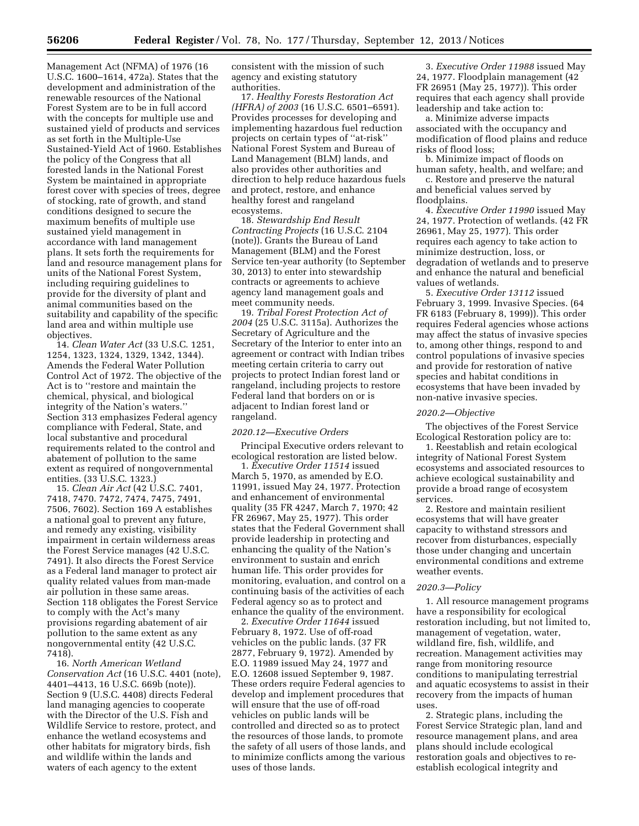Management Act (NFMA) of 1976 (16 U.S.C. 1600–1614, 472a). States that the development and administration of the renewable resources of the National Forest System are to be in full accord with the concepts for multiple use and sustained yield of products and services as set forth in the Multiple-Use Sustained-Yield Act of 1960. Establishes the policy of the Congress that all forested lands in the National Forest System be maintained in appropriate forest cover with species of trees, degree of stocking, rate of growth, and stand conditions designed to secure the maximum benefits of multiple use sustained yield management in accordance with land management plans. It sets forth the requirements for land and resource management plans for units of the National Forest System, including requiring guidelines to provide for the diversity of plant and animal communities based on the suitability and capability of the specific land area and within multiple use objectives.

14. *Clean Water Act* (33 U.S.C. 1251, 1254, 1323, 1324, 1329, 1342, 1344). Amends the Federal Water Pollution Control Act of 1972. The objective of the Act is to ''restore and maintain the chemical, physical, and biological integrity of the Nation's waters.'' Section 313 emphasizes Federal agency compliance with Federal, State, and local substantive and procedural requirements related to the control and abatement of pollution to the same extent as required of nongovernmental entities. (33 U.S.C. 1323.)

15. *Clean Air Act* (42 U.S.C. 7401, 7418, 7470. 7472, 7474, 7475, 7491, 7506, 7602). Section 169 A establishes a national goal to prevent any future, and remedy any existing, visibility impairment in certain wilderness areas the Forest Service manages (42 U.S.C. 7491). It also directs the Forest Service as a Federal land manager to protect air quality related values from man-made air pollution in these same areas. Section 118 obligates the Forest Service to comply with the Act's many provisions regarding abatement of air pollution to the same extent as any nongovernmental entity (42 U.S.C. 7418).

16. *North American Wetland Conservation Act* (16 U.S.C. 4401 (note), 4401–4413, 16 U.S.C. 669b (note)). Section 9 (U.S.C. 4408) directs Federal land managing agencies to cooperate with the Director of the U.S. Fish and Wildlife Service to restore, protect, and enhance the wetland ecosystems and other habitats for migratory birds, fish and wildlife within the lands and waters of each agency to the extent

consistent with the mission of such agency and existing statutory authorities.

17. *Healthy Forests Restoration Act (HFRA) of 2003* (16 U.S.C. 6501–6591). Provides processes for developing and implementing hazardous fuel reduction projects on certain types of ''at-risk'' National Forest System and Bureau of Land Management (BLM) lands, and also provides other authorities and direction to help reduce hazardous fuels and protect, restore, and enhance healthy forest and rangeland ecosystems.

18. *Stewardship End Result Contracting Projects* (16 U.S.C. 2104 (note)). Grants the Bureau of Land Management (BLM) and the Forest Service ten-year authority (to September 30, 2013) to enter into stewardship contracts or agreements to achieve agency land management goals and meet community needs.

19. *Tribal Forest Protection Act of 2004* (25 U.S.C. 3115a). Authorizes the Secretary of Agriculture and the Secretary of the Interior to enter into an agreement or contract with Indian tribes meeting certain criteria to carry out projects to protect Indian forest land or rangeland, including projects to restore Federal land that borders on or is adjacent to Indian forest land or rangeland.

#### *2020.12—Executive Orders*

Principal Executive orders relevant to ecological restoration are listed below.

1. *Executive Order 11514* issued March 5, 1970, as amended by E.O. 11991, issued May 24, 1977. Protection and enhancement of environmental quality (35 FR 4247, March 7, 1970; 42 FR 26967, May 25, 1977). This order states that the Federal Government shall provide leadership in protecting and enhancing the quality of the Nation's environment to sustain and enrich human life. This order provides for monitoring, evaluation, and control on a continuing basis of the activities of each Federal agency so as to protect and enhance the quality of the environment.

2. *Executive Order 11644* issued February 8, 1972. Use of off-road vehicles on the public lands. (37 FR 2877, February 9, 1972). Amended by E.O. 11989 issued May 24, 1977 and E.O. 12608 issued September 9, 1987. These orders require Federal agencies to develop and implement procedures that will ensure that the use of off-road vehicles on public lands will be controlled and directed so as to protect the resources of those lands, to promote the safety of all users of those lands, and to minimize conflicts among the various uses of those lands.

3. *Executive Order 11988* issued May 24, 1977. Floodplain management (42 FR 26951 (May 25, 1977)). This order requires that each agency shall provide leadership and take action to:

a. Minimize adverse impacts associated with the occupancy and modification of flood plains and reduce risks of flood loss;

b. Minimize impact of floods on human safety, health, and welfare; and

c. Restore and preserve the natural and beneficial values served by floodplains.

4. *Executive Order 11990* issued May 24, 1977. Protection of wetlands. (42 FR 26961, May 25, 1977). This order requires each agency to take action to minimize destruction, loss, or degradation of wetlands and to preserve and enhance the natural and beneficial values of wetlands.

5. *Executive Order 13112* issued February 3, 1999. Invasive Species. (64 FR 6183 (February 8, 1999)). This order requires Federal agencies whose actions may affect the status of invasive species to, among other things, respond to and control populations of invasive species and provide for restoration of native species and habitat conditions in ecosystems that have been invaded by non-native invasive species.

#### *2020.2—Objective*

The objectives of the Forest Service Ecological Restoration policy are to:

1. Reestablish and retain ecological integrity of National Forest System ecosystems and associated resources to achieve ecological sustainability and provide a broad range of ecosystem services.

2. Restore and maintain resilient ecosystems that will have greater capacity to withstand stressors and recover from disturbances, especially those under changing and uncertain environmental conditions and extreme weather events.

#### *2020.3—Policy*

1. All resource management programs have a responsibility for ecological restoration including, but not limited to, management of vegetation, water, wildland fire, fish, wildlife, and recreation. Management activities may range from monitoring resource conditions to manipulating terrestrial and aquatic ecosystems to assist in their recovery from the impacts of human uses.

2. Strategic plans, including the Forest Service Strategic plan, land and resource management plans, and area plans should include ecological restoration goals and objectives to reestablish ecological integrity and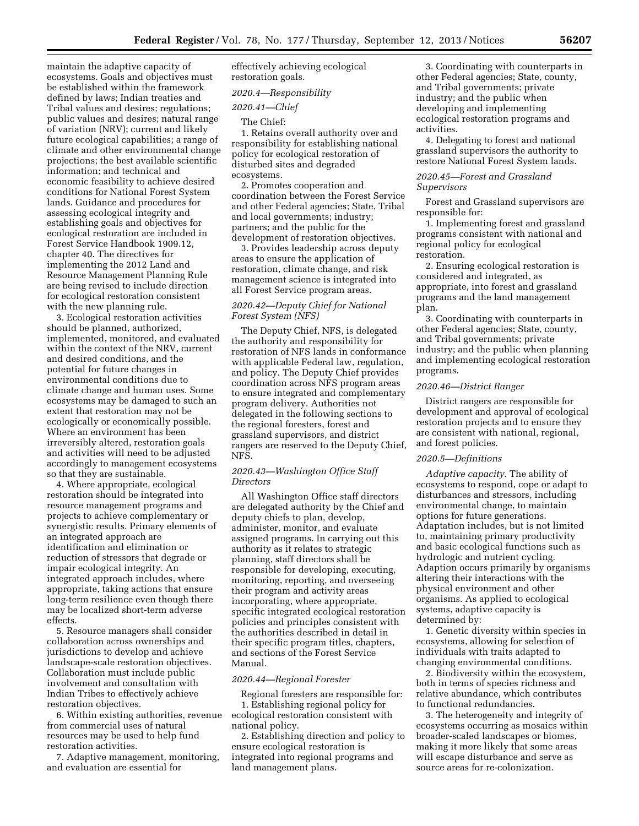maintain the adaptive capacity of ecosystems. Goals and objectives must be established within the framework defined by laws; Indian treaties and Tribal values and desires; regulations; public values and desires; natural range of variation (NRV); current and likely future ecological capabilities; a range of climate and other environmental change projections; the best available scientific information; and technical and economic feasibility to achieve desired conditions for National Forest System lands. Guidance and procedures for assessing ecological integrity and establishing goals and objectives for ecological restoration are included in Forest Service Handbook 1909.12, chapter 40. The directives for implementing the 2012 Land and Resource Management Planning Rule are being revised to include direction for ecological restoration consistent with the new planning rule.

3. Ecological restoration activities should be planned, authorized, implemented, monitored, and evaluated within the context of the NRV, current and desired conditions, and the potential for future changes in environmental conditions due to climate change and human uses. Some ecosystems may be damaged to such an extent that restoration may not be ecologically or economically possible. Where an environment has been irreversibly altered, restoration goals and activities will need to be adjusted accordingly to management ecosystems so that they are sustainable.

4. Where appropriate, ecological restoration should be integrated into resource management programs and projects to achieve complementary or synergistic results. Primary elements of an integrated approach are identification and elimination or reduction of stressors that degrade or impair ecological integrity. An integrated approach includes, where appropriate, taking actions that ensure long-term resilience even though there may be localized short-term adverse effects.

5. Resource managers shall consider collaboration across ownerships and jurisdictions to develop and achieve landscape-scale restoration objectives. Collaboration must include public involvement and consultation with Indian Tribes to effectively achieve restoration objectives.

6. Within existing authorities, revenue from commercial uses of natural resources may be used to help fund restoration activities.

7. Adaptive management, monitoring, and evaluation are essential for

effectively achieving ecological restoration goals.

## *2020.4—Responsibility*

*2020.41—Chief* 

#### The Chief:

1. Retains overall authority over and responsibility for establishing national policy for ecological restoration of disturbed sites and degraded ecosystems.

2. Promotes cooperation and coordination between the Forest Service and other Federal agencies; State, Tribal and local governments; industry; partners; and the public for the development of restoration objectives.

3. Provides leadership across deputy areas to ensure the application of restoration, climate change, and risk management science is integrated into all Forest Service program areas.

# *2020.42—Deputy Chief for National Forest System (NFS)*

The Deputy Chief, NFS, is delegated the authority and responsibility for restoration of NFS lands in conformance with applicable Federal law, regulation, and policy. The Deputy Chief provides coordination across NFS program areas to ensure integrated and complementary program delivery. Authorities not delegated in the following sections to the regional foresters, forest and grassland supervisors, and district rangers are reserved to the Deputy Chief, NFS.

#### *2020.43—Washington Office Staff Directors*

All Washington Office staff directors are delegated authority by the Chief and deputy chiefs to plan, develop, administer, monitor, and evaluate assigned programs. In carrying out this authority as it relates to strategic planning, staff directors shall be responsible for developing, executing, monitoring, reporting, and overseeing their program and activity areas incorporating, where appropriate, specific integrated ecological restoration policies and principles consistent with the authorities described in detail in their specific program titles, chapters, and sections of the Forest Service Manual.

#### *2020.44—Regional Forester*

Regional foresters are responsible for: 1. Establishing regional policy for ecological restoration consistent with

national policy. 2. Establishing direction and policy to

ensure ecological restoration is integrated into regional programs and land management plans.

3. Coordinating with counterparts in other Federal agencies; State, county, and Tribal governments; private industry; and the public when developing and implementing ecological restoration programs and activities.

4. Delegating to forest and national grassland supervisors the authority to restore National Forest System lands.

# *2020.45—Forest and Grassland Supervisors*

Forest and Grassland supervisors are responsible for:

1. Implementing forest and grassland programs consistent with national and regional policy for ecological restoration.

2. Ensuring ecological restoration is considered and integrated, as appropriate, into forest and grassland programs and the land management plan.

3. Coordinating with counterparts in other Federal agencies; State, county, and Tribal governments; private industry; and the public when planning and implementing ecological restoration programs.

#### *2020.46—District Ranger*

District rangers are responsible for development and approval of ecological restoration projects and to ensure they are consistent with national, regional, and forest policies.

#### *2020.5—Definitions*

*Adaptive capacity.* The ability of ecosystems to respond, cope or adapt to disturbances and stressors, including environmental change, to maintain options for future generations. Adaptation includes, but is not limited to, maintaining primary productivity and basic ecological functions such as hydrologic and nutrient cycling. Adaption occurs primarily by organisms altering their interactions with the physical environment and other organisms. As applied to ecological systems, adaptive capacity is determined by:

1. Genetic diversity within species in ecosystems, allowing for selection of individuals with traits adapted to changing environmental conditions.

2. Biodiversity within the ecosystem, both in terms of species richness and relative abundance, which contributes to functional redundancies.

3. The heterogeneity and integrity of ecosystems occurring as mosaics within broader-scaled landscapes or biomes, making it more likely that some areas will escape disturbance and serve as source areas for re-colonization.